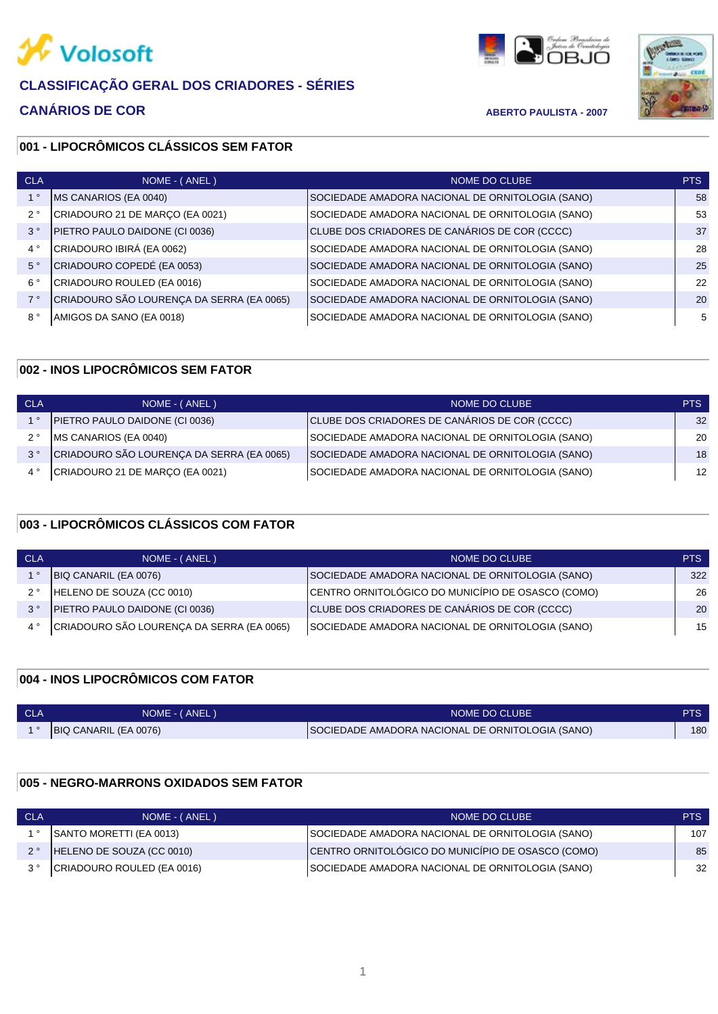

# **CANÁRIOS DE COR ABERTO PAULISTA - 2007**





# **001 - LIPOCRÔMICOS CLÁSSICOS SEM FATOR**

| <b>CLA</b>  | NOME - (ANEL)                             | NOME DO CLUBE                                    | PTS |
|-------------|-------------------------------------------|--------------------------------------------------|-----|
|             | MS CANARIOS (EA 0040)                     | SOCIEDADE AMADORA NACIONAL DE ORNITOLOGIA (SANO) | 58  |
| $2^{\circ}$ | CRIADOURO 21 DE MARÇO (EA 0021)           | SOCIEDADE AMADORA NACIONAL DE ORNITOLOGIA (SANO) | 53  |
| $3^{\circ}$ | PIETRO PAULO DAIDONE (CI 0036)            | CLUBE DOS CRIADORES DE CANÁRIOS DE COR (CCCC)    | 37  |
| $4^{\circ}$ | CRIADOURO IBIRÁ (EA 0062)                 | SOCIEDADE AMADORA NACIONAL DE ORNITOLOGIA (SANO) | 28  |
| $5^{\circ}$ | CRIADOURO COPEDÉ (EA 0053)                | SOCIEDADE AMADORA NACIONAL DE ORNITOLOGIA (SANO) | 25  |
| $6^{\circ}$ | CRIADOURO ROULED (EA 0016)                | SOCIEDADE AMADORA NACIONAL DE ORNITOLOGIA (SANO) | 22  |
| 7°          | CRIADOURO SÃO LOURENÇA DA SERRA (EA 0065) | SOCIEDADE AMADORA NACIONAL DE ORNITOLOGIA (SANO) | 20  |
| $8^{\circ}$ | AMIGOS DA SANO (EA 0018)                  | SOCIEDADE AMADORA NACIONAL DE ORNITOLOGIA (SANO) | 5   |
|             |                                           |                                                  |     |

#### **002 - INOS LIPOCRÔMICOS SEM FATOR**

| <b>CLA</b>  | NOME - (ANEL)                             | NOME DO CLUBE                                    | PTS |
|-------------|-------------------------------------------|--------------------------------------------------|-----|
|             | PIETRO PAULO DAIDONE (CI 0036)            | CLUBE DOS CRIADORES DE CANÁRIOS DE COR (CCCC)    | 32  |
| ?°          | <b>IMS CANARIOS (EA 0040)</b>             | SOCIEDADE AMADORA NACIONAL DE ORNITOLOGIA (SANO) | 20  |
| $3^{\circ}$ | CRIADOURO SÃO LOURENÇA DA SERRA (EA 0065) | SOCIEDADE AMADORA NACIONAL DE ORNITOLOGIA (SANO) | 18  |
|             | CRIADOURO 21 DE MARÇO (EA 0021)           | SOCIEDADE AMADORA NACIONAL DE ORNITOLOGIA (SANO) | 12  |

# **003 - LIPOCRÔMICOS CLÁSSICOS COM FATOR**

| <b>CLA</b>  | NOME - (ANEL)                             | NOME DO CLUBE                                     | PTS |
|-------------|-------------------------------------------|---------------------------------------------------|-----|
|             | BIQ CANARIL (EA 0076)                     | SOCIEDADE AMADORA NACIONAL DE ORNITOLOGIA (SANO)  | 322 |
| $2^{\circ}$ | HELENO DE SOUZA (CC 0010)                 | CENTRO ORNITOLÓGICO DO MUNICÍPIO DE OSASCO (COMO) | 26  |
| $3^{\circ}$ | PIETRO PAULO DAIDONE (CI 0036)            | CLUBE DOS CRIADORES DE CANÁRIOS DE COR (CCCC)     | 20  |
|             | CRIADOURO SÃO LOURENÇA DA SERRA (EA 0065) | SOCIEDADE AMADORA NACIONAL DE ORNITOLOGIA (SANO)  | 15  |

## **004 - INOS LIPOCRÔMICOS COM FATOR**

| <b>CLA</b> | NOME - (ANEL)                | NOME DO CLUBE                                    | PTS |
|------------|------------------------------|--------------------------------------------------|-----|
|            | <b>BIQ CANARIL (EA 0076)</b> | SOCIEDADE AMADORA NACIONAL DE ORNITOLOGIA (SANO) | 180 |

#### **005 - NEGRO-MARRONS OXIDADOS SEM FATOR**

| <b>CLA</b> | NOME - (ANEL)              | NOME DO CLUBE                                     | PTS. |
|------------|----------------------------|---------------------------------------------------|------|
|            | SANTO MORETTI (EA 0013)    | SOCIEDADE AMADORA NACIONAL DE ORNITOLOGIA (SANO)  | 107  |
|            | HELENO DE SOUZA (CC 0010)  | CENTRO ORNITOLÓGICO DO MUNICÍPIO DE OSASCO (COMO) | 85   |
|            | CRIADOURO ROULED (EA 0016) | SOCIEDADE AMADORA NACIONAL DE ORNITOLOGIA (SANO)  | -32  |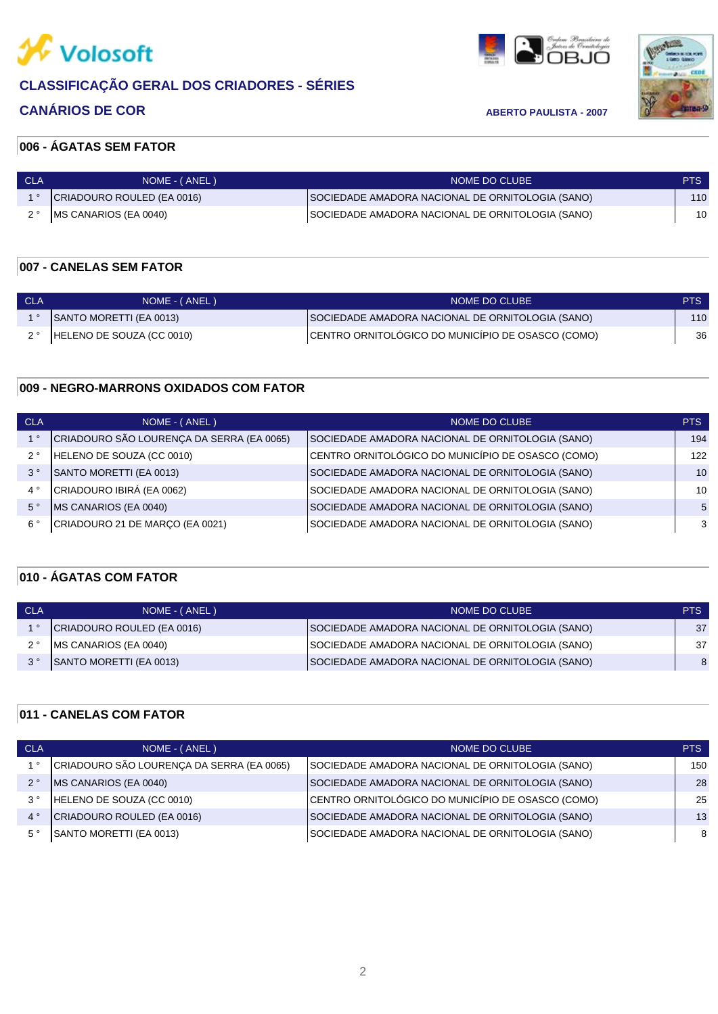

# **CANÁRIOS DE COR ABERTO PAULISTA - 2007**





# **006 - ÁGATAS SEM FATOR**

| CLA | NOME - (ANEL)              | NOME DO CLUBE                                    | <b>PTS</b> |
|-----|----------------------------|--------------------------------------------------|------------|
|     | CRIADOURO ROULED (EA 0016) | SOCIEDADE AMADORA NACIONAL DE ORNITOLOGIA (SANO) | 110        |
|     | MS CANARIOS (EA 0040)      | SOCIEDADE AMADORA NACIONAL DE ORNITOLOGIA (SANO) | 10         |

# **007 - CANELAS SEM FATOR**

| CLA | NOME - (ANEL)                 | NOME DO CLUBE !                                   | <b>PTS</b> |
|-----|-------------------------------|---------------------------------------------------|------------|
|     | SANTO MORETTI (EA 0013)       | SOCIEDADE AMADORA NACIONAL DE ORNITOLOGIA (SANO)  | 110        |
|     | 2 ° HELENO DE SOUZA (CC 0010) | CENTRO ORNITOLÓGICO DO MUNICÍPIO DE OSASCO (COMO) | 36         |

#### **009 - NEGRO-MARRONS OXIDADOS COM FATOR**

| <b>CLA</b>  | NOME - (ANEL)                             | NOME DO CLUBE                                     | PTS |
|-------------|-------------------------------------------|---------------------------------------------------|-----|
|             | CRIADOURO SÃO LOURENÇA DA SERRA (EA 0065) | SOCIEDADE AMADORA NACIONAL DE ORNITOLOGIA (SANO)  | 194 |
| $2^{\circ}$ | HELENO DE SOUZA (CC 0010)                 | CENTRO ORNITOLÓGICO DO MUNICÍPIO DE OSASCO (COMO) | 122 |
| $3^{\circ}$ | SANTO MORETTI (EA 0013)                   | SOCIEDADE AMADORA NACIONAL DE ORNITOLOGIA (SANO)  | 10  |
| $4^{\circ}$ | CRIADOURO IBIRÁ (EA 0062)                 | SOCIEDADE AMADORA NACIONAL DE ORNITOLOGIA (SANO)  | 10  |
| $5^{\circ}$ | MS CANARIOS (EA 0040)                     | SOCIEDADE AMADORA NACIONAL DE ORNITOLOGIA (SANO)  | 5   |
| $6^{\circ}$ | CRIADOURO 21 DE MARÇO (EA 0021)           | SOCIEDADE AMADORA NACIONAL DE ORNITOLOGIA (SANO)  | -3  |
|             |                                           |                                                   |     |

# **010 - ÁGATAS COM FATOR**

| CLA | NOME - (ANEL)                 | NOME DO CLUBE                                    | PTS. |
|-----|-------------------------------|--------------------------------------------------|------|
|     | CRIADOURO ROULED (EA 0016)    | SOCIEDADE AMADORA NACIONAL DE ORNITOLOGIA (SANO) | 37   |
|     | <b>IMS CANARIOS (EA 0040)</b> | SOCIEDADE AMADORA NACIONAL DE ORNITOLOGIA (SANO) | 37   |
|     | SANTO MORETTI (EA 0013)       | SOCIEDADE AMADORA NACIONAL DE ORNITOLOGIA (SANO) | 8    |

## **011 - CANELAS COM FATOR**

| <b>CLA</b>  | NOME - (ANEL)                             | NOME DO CLUBE                                     | <b>PTS</b> |
|-------------|-------------------------------------------|---------------------------------------------------|------------|
|             | CRIADOURO SÃO LOURENÇA DA SERRA (EA 0065) | SOCIEDADE AMADORA NACIONAL DE ORNITOLOGIA (SANO)  | 150        |
| $2^{\circ}$ | MS CANARIOS (EA 0040)                     | SOCIEDADE AMADORA NACIONAL DE ORNITOLOGIA (SANO)  | 28         |
| $3^{\circ}$ | HELENO DE SOUZA (CC 0010)                 | CENTRO ORNITOLÓGICO DO MUNICÍPIO DE OSASCO (COMO) | 25         |
| $4^{\circ}$ | CRIADOURO ROULED (EA 0016)                | SOCIEDADE AMADORA NACIONAL DE ORNITOLOGIA (SANO)  | 13         |
| $5^{\circ}$ | SANTO MORETTI (EA 0013)                   | SOCIEDADE AMADORA NACIONAL DE ORNITOLOGIA (SANO)  | -8         |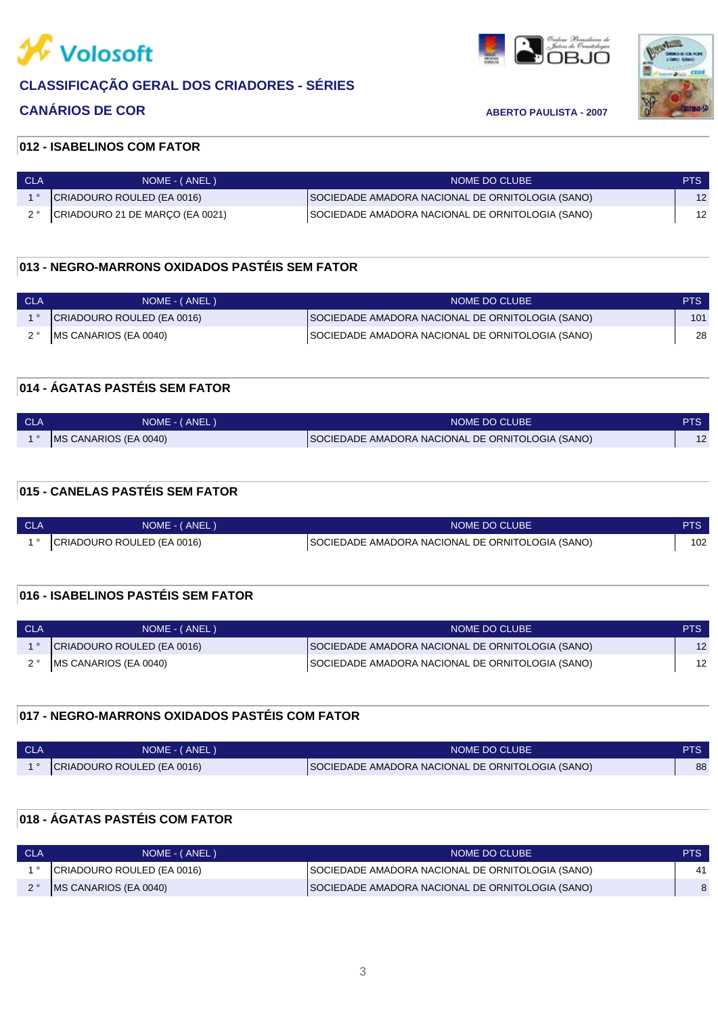

# **CANÁRIOS DE COR ABERTO PAULISTA - 2007**





## **012 - ISABELINOS COM FATOR**

| ⊟ CLA | NOME - (ANEL)                   | NOME DO CLUBE                                    | PTS. |
|-------|---------------------------------|--------------------------------------------------|------|
|       | CRIADOURO ROULED (EA 0016)      | SOCIEDADE AMADORA NACIONAL DE ORNITOLOGIA (SANO) | 12   |
|       | CRIADOURO 21 DE MARÇO (EA 0021) | SOCIEDADE AMADORA NACIONAL DE ORNITOLOGIA (SANO) |      |

## **013 - NEGRO-MARRONS OXIDADOS PASTÉIS SEM FATOR**

| - CLA | NOME - (ANEL)              | NOME DO CLUBE                                    | PTS <sup>1</sup> |
|-------|----------------------------|--------------------------------------------------|------------------|
|       | CRIADOURO ROULED (EA 0016) | SOCIEDADE AMADORA NACIONAL DE ORNITOLOGIA (SANO) | 101              |
|       | 2 ° MS CANARIOS (EA 0040)  | SOCIEDADE AMADORA NACIONAL DE ORNITOLOGIA (SANO) | 28               |

## **014 - ÁGATAS PASTÉIS SEM FATOR**

| <b>CLA</b> | NOME - (ANEL)                 | NOME DO CLUBE                                    | PTS. |
|------------|-------------------------------|--------------------------------------------------|------|
|            | <b>IMS CANARIOS (EA 0040)</b> | SOCIEDADE AMADORA NACIONAL DE ORNITOLOGIA (SANO) |      |

# **015 - CANELAS PASTÉIS SEM FATOR**

| <b>CLA</b> | NOME - (ANEL)              | NOME DO CLUBE                                    |     |
|------------|----------------------------|--------------------------------------------------|-----|
|            | CRIADOURO ROULED (EA 0016) | SOCIEDADE AMADORA NACIONAL DE ORNITOLOGIA (SANO) | 102 |

## **016 - ISABELINOS PASTÉIS SEM FATOR**

| CLA | NOME - (ANEL)              | NOME DO CLUBE                                    | <b>PTS</b> |
|-----|----------------------------|--------------------------------------------------|------------|
|     | CRIADOURO ROULED (EA 0016) | SOCIEDADE AMADORA NACIONAL DE ORNITOLOGIA (SANO) | 12         |
|     | 2° MS CANARIOS (EA 0040)   | SOCIEDADE AMADORA NACIONAL DE ORNITOLOGIA (SANO) | 12         |

## **017 - NEGRO-MARRONS OXIDADOS PASTÉIS COM FATOR**

| <b>CLA</b> | NOME - (ANEL)              | NOME DO CLUBE                                    |    |
|------------|----------------------------|--------------------------------------------------|----|
|            | CRIADOURO ROULED (EA 0016) | SOCIEDADE AMADORA NACIONAL DE ORNITOLOGIA (SANO) | 88 |

# **018 - ÁGATAS PASTÉIS COM FATOR**

| <b>CLA</b> | NOME - (ANEL)                 | NOME DO CLUBE                                    | PTS. |
|------------|-------------------------------|--------------------------------------------------|------|
|            | CRIADOURO ROULED (EA 0016)    | SOCIEDADE AMADORA NACIONAL DE ORNITOLOGIA (SANO) | 41   |
|            | <b>IMS CANARIOS (EA 0040)</b> | SOCIEDADE AMADORA NACIONAL DE ORNITOLOGIA (SANO) |      |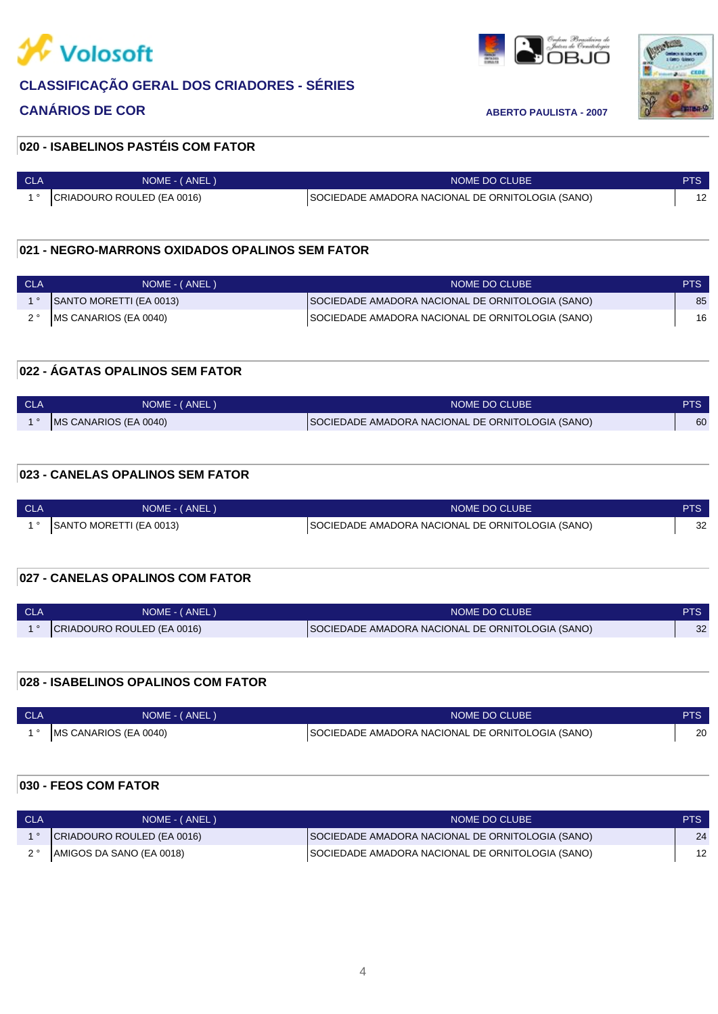

# **CANÁRIOS DE COR ABERTO PAULISTA - 2007**

andon Production



#### **020 - ISABELINOS PASTÉIS COM FATOR**

| <b>CLA</b> | NOME - (ANEL)              | NOME DO CLUBE                                    | PTS |
|------------|----------------------------|--------------------------------------------------|-----|
|            | CRIADOURO ROULED (EA 0016) | SOCIEDADE AMADORA NACIONAL DE ORNITOLOGIA (SANO) |     |

### **021 - NEGRO-MARRONS OXIDADOS OPALINOS SEM FATOR**

| <b>CLA</b> | NOME - (ANEL)                 | NOME DO CLUBE                                    | <b>PTS</b> |
|------------|-------------------------------|--------------------------------------------------|------------|
|            | SANTO MORETTI (EA 0013)       | SOCIEDADE AMADORA NACIONAL DE ORNITOLOGIA (SANO) | 85         |
|            | <b>IMS CANARIOS (EA 0040)</b> | SOCIEDADE AMADORA NACIONAL DE ORNITOLOGIA (SANO) | 16         |

#### **022 - ÁGATAS OPALINOS SEM FATOR**

| <b>CLA</b> | NOME - (ANEL)         | NOME DO CLUBE                                    | PTS |
|------------|-----------------------|--------------------------------------------------|-----|
|            | MS CANARIOS (EA 0040) | SOCIEDADE AMADORA NACIONAL DE ORNITOLOGIA (SANO) | 60  |

## **023 - CANELAS OPALINOS SEM FATOR**

| <b>CLA</b> | NOME - (ANEL)           | NOME DO CLUBE                                    | PTS' |
|------------|-------------------------|--------------------------------------------------|------|
|            | SANTO MORETTI (EA 0013) | SOCIEDADE AMADORA NACIONAL DE ORNITOLOGIA (SANO) | 32   |
|            |                         |                                                  |      |

# **027 - CANELAS OPALINOS COM FATOR**

| <b>CLA</b> | NOME - (ANEL)              | NOME DO CLUBE                                    |          |
|------------|----------------------------|--------------------------------------------------|----------|
|            | CRIADOURO ROULED (EA 0016) | SOCIEDADE AMADORA NACIONAL DE ORNITOLOGIA (SANO) | ົດ<br>∠ت |

# **028 - ISABELINOS OPALINOS COM FATOR**

| <b>CLA</b> | NOME - (ANEL)                 | NOME DO CLUBE                                    |    |
|------------|-------------------------------|--------------------------------------------------|----|
|            | <b>IMS CANARIOS (EA 0040)</b> | SOCIEDADE AMADORA NACIONAL DE ORNITOLOGIA (SANO) | 20 |

# **030 - FEOS COM FATOR**

| <b>CLA</b> | NOME - (ANEL)              | NOME DO CLUBE                                    | PTS |
|------------|----------------------------|--------------------------------------------------|-----|
|            | CRIADOURO ROULED (EA 0016) | SOCIEDADE AMADORA NACIONAL DE ORNITOLOGIA (SANO) | 24  |
|            | AMIGOS DA SANO (EA 0018)   | SOCIEDADE AMADORA NACIONAL DE ORNITOLOGIA (SANO) | 12  |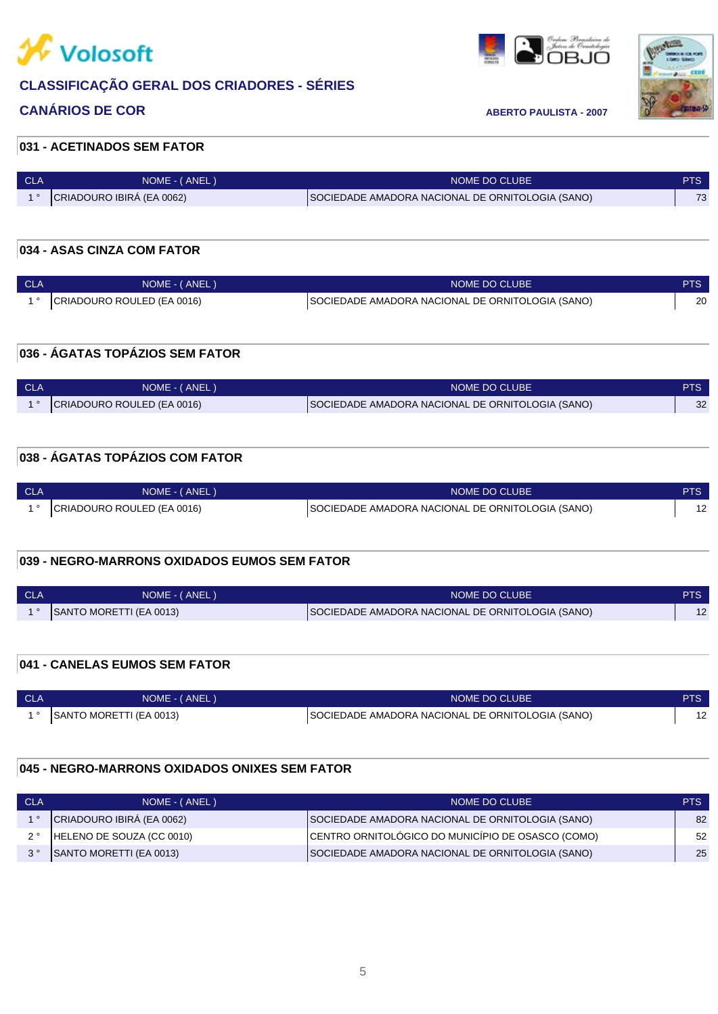

# **CANÁRIOS DE COR ABERTO PAULISTA - 2007**

en film for the second second property of the second second second second second second second second second s<br>I OBJO



### **031 - ACETINADOS SEM FATOR**

| <b>CLA</b> | NOME - (ANEL)             | NOME DO CLUBE                                    | PTS. |
|------------|---------------------------|--------------------------------------------------|------|
|            | CRIADOURO IBIRA (EA 0062) | SOCIEDADE AMADORA NACIONAL DE ORNITOLOGIA (SANO) | 72   |

#### **034 - ASAS CINZA COM FATOR**

| - CLA | NOME - (ANEL)              | NOME DO CLUBE                                    | <b>PTS</b> |
|-------|----------------------------|--------------------------------------------------|------------|
|       | CRIADOURO ROULED (EA 0016) | SOCIEDADE AMADORA NACIONAL DE ORNITOLOGIA (SANO) | 20         |

#### **036 - ÁGATAS TOPÁZIOS SEM FATOR**

| <b>CLA</b> | NOME - (ANEL)              | NOME DO CLUBE                                    | PTS |
|------------|----------------------------|--------------------------------------------------|-----|
|            | CRIADOURO ROULED (EA 0016) | SOCIEDADE AMADORA NACIONAL DE ORNITOLOGIA (SANO) | 32  |

## **038 - ÁGATAS TOPÁZIOS COM FATOR**

| <b>CLA</b> | NOME - (ANEL)              | NOME DO CLUBE                                    |  |
|------------|----------------------------|--------------------------------------------------|--|
|            | CRIADOURO ROULED (EA 0016) | SOCIEDADE AMADORA NACIONAL DE ORNITOLOGIA (SANO) |  |

## **039 - NEGRO-MARRONS OXIDADOS EUMOS SEM FATOR**

| - CLA | NOME - (ANEL)           | NOME DO CLUBE                                    | PTS |
|-------|-------------------------|--------------------------------------------------|-----|
|       | SANTO MORETTI (EA 0013) | SOCIEDADE AMADORA NACIONAL DE ORNITOLOGIA (SANO) |     |

#### **041 - CANELAS EUMOS SEM FATOR**

| - CLA | NOME - (ANEL)                  | NOME DO CLUBE                                    | PTS                      |
|-------|--------------------------------|--------------------------------------------------|--------------------------|
|       | <b>SANTO MORETTI (EA 0013)</b> | SOCIEDADE AMADORA NACIONAL DE ORNITOLOGIA (SANO) | $\overline{\phantom{a}}$ |

#### **045 - NEGRO-MARRONS OXIDADOS ONIXES SEM FATOR**

| CLA         | NOME - (ANEL)             | NOME DO CLUBE                                     | PTS. |
|-------------|---------------------------|---------------------------------------------------|------|
|             | CRIADOURO IBIRA (EA 0062) | SOCIEDADE AMADORA NACIONAL DE ORNITOLOGIA (SANO)  | 82   |
|             | HELENO DE SOUZA (CC 0010) | CENTRO ORNITOLOGICO DO MUNICÍPIO DE OSASCO (COMO) | 52   |
| $3^{\circ}$ | SANTO MORETTI (EA 0013)   | SOCIEDADE AMADORA NACIONAL DE ORNITOLOGIA (SANO)  | 25   |